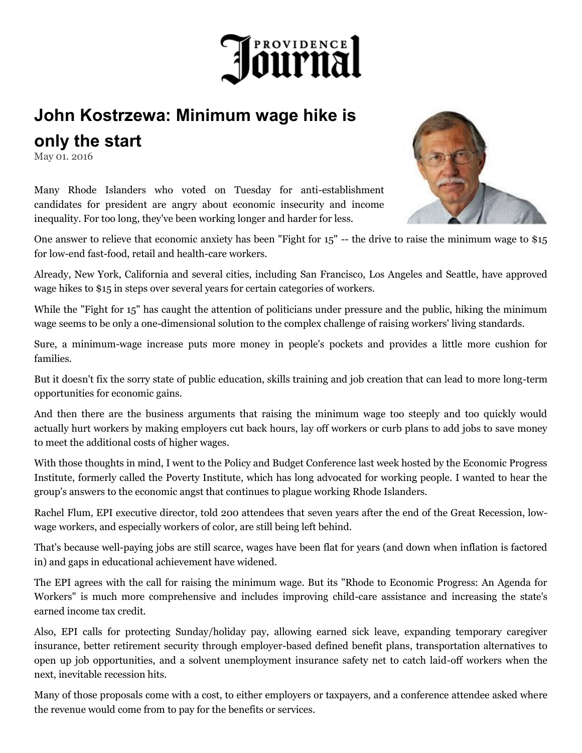

## **John Kostrzewa: Minimum wage hike is only the start**

May 01. 2016

Many Rhode Islanders who voted on Tuesday for anti-establishment candidates for president are angry about economic insecurity and income inequality. For too long, they've been working longer and harder for less.

One answer to relieve that economic anxiety has been "Fight for 15" -- the drive to raise the minimum wage to \$15 for low-end fast-food, retail and health-care workers.

Already, New York, California and several cities, including San Francisco, Los Angeles and Seattle, have approved wage hikes to \$15 in steps over several years for certain categories of workers.

While the "Fight for 15" has caught the attention of politicians under pressure and the public, hiking the minimum wage seems to be only a one-dimensional solution to the complex challenge of raising workers' living standards.

Sure, a minimum-wage increase puts more money in people's pockets and provides a little more cushion for families.

But it doesn't fix the sorry state of public education, skills training and job creation that can lead to more long-term opportunities for economic gains.

And then there are the business arguments that raising the minimum wage too steeply and too quickly would actually hurt workers by making employers cut back hours, lay off workers or curb plans to add jobs to save money to meet the additional costs of higher wages.

With those thoughts in mind, I went to the Policy and Budget Conference last week hosted by the Economic Progress Institute, formerly called the Poverty Institute, which has long advocated for working people. I wanted to hear the group's answers to the economic angst that continues to plague working Rhode Islanders.

Rachel Flum, EPI executive director, told 200 attendees that seven years after the end of the Great Recession, lowwage workers, and especially workers of color, are still being left behind.

That's because well-paying jobs are still scarce, wages have been flat for years (and down when inflation is factored in) and gaps in educational achievement have widened.

The EPI agrees with the call for raising the minimum wage. But its "Rhode to Economic Progress: An Agenda for Workers" is much more comprehensive and includes improving child-care assistance and increasing the state's earned income tax credit.

Also, EPI calls for protecting Sunday/holiday pay, allowing earned sick leave, expanding temporary caregiver insurance, better retirement security through employer-based defined benefit plans, transportation alternatives to open up job opportunities, and a solvent unemployment insurance safety net to catch laid-off workers when the next, inevitable recession hits.

Many of those proposals come with a cost, to either employers or taxpayers, and a conference attendee asked where the revenue would come from to pay for the benefits or services.